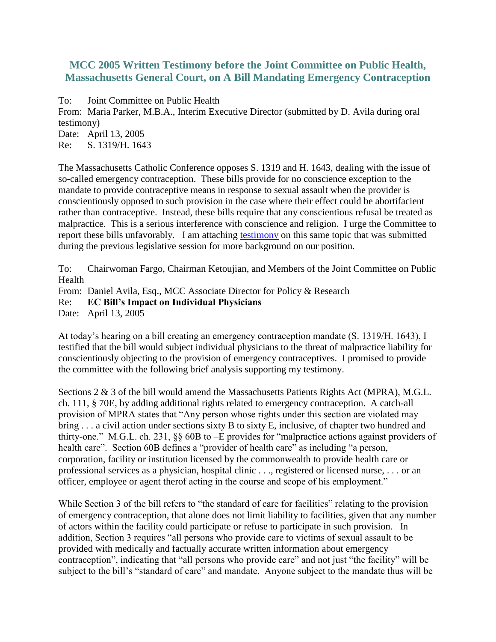## **MCC 2005 Written Testimony before the Joint Committee on Public Health, Massachusetts General Court, on A Bill Mandating Emergency Contraception**

To: Joint Committee on Public Health

From: Maria Parker, M.B.A., Interim Executive Director (submitted by D. Avila during oral testimony) Date: April 13, 2005

Re: S. 1319/H. 1643

The Massachusetts Catholic Conference opposes S. 1319 and H. 1643, dealing with the issue of so-called emergency contraception. These bills provide for no conscience exception to the mandate to provide contraceptive means in response to sexual assault when the provider is conscientiously opposed to such provision in the case where their effect could be abortifacient rather than contraceptive. Instead, these bills require that any conscientious refusal be treated as malpractice. This is a serious interference with conscience and religion. I urge the Committee to report these bills unfavorably. I am attaching [testimony](http://www.macathconf.org/03-EC%20Mandate%20Testimony%20Judiciary%206-11.pdf) on this same topic that was submitted during the previous legislative session for more background on our position.

To: Chairwoman Fargo, Chairman Ketoujian, and Members of the Joint Committee on Public Health

From: Daniel Avila, Esq., MCC Associate Director for Policy & Research

Re: **EC Bill's Impact on Individual Physicians**

Date: April 13, 2005

At today's hearing on a bill creating an emergency contraception mandate (S. 1319/H. 1643), I testified that the bill would subject individual physicians to the threat of malpractice liability for conscientiously objecting to the provision of emergency contraceptives. I promised to provide the committee with the following brief analysis supporting my testimony.

Sections 2 & 3 of the bill would amend the Massachusetts Patients Rights Act (MPRA), M.G.L. ch. 111, § 70E, by adding additional rights related to emergency contraception. A catch-all provision of MPRA states that "Any person whose rights under this section are violated may bring . . . a civil action under sections sixty B to sixty E, inclusive, of chapter two hundred and thirty-one." M.G.L. ch. 231, §§ 60B to –E provides for "malpractice actions against providers of health care". Section 60B defines a "provider of health care" as including "a person, corporation, facility or institution licensed by the commonwealth to provide health care or professional services as a physician, hospital clinic . . ., registered or licensed nurse, . . . or an officer, employee or agent therof acting in the course and scope of his employment."

While Section 3 of the bill refers to "the standard of care for facilities" relating to the provision of emergency contraception, that alone does not limit liability to facilities, given that any number of actors within the facility could participate or refuse to participate in such provision. In addition, Section 3 requires "all persons who provide care to victims of sexual assault to be provided with medically and factually accurate written information about emergency contraception", indicating that "all persons who provide care" and not just "the facility" will be subject to the bill's "standard of care" and mandate. Anyone subject to the mandate thus will be